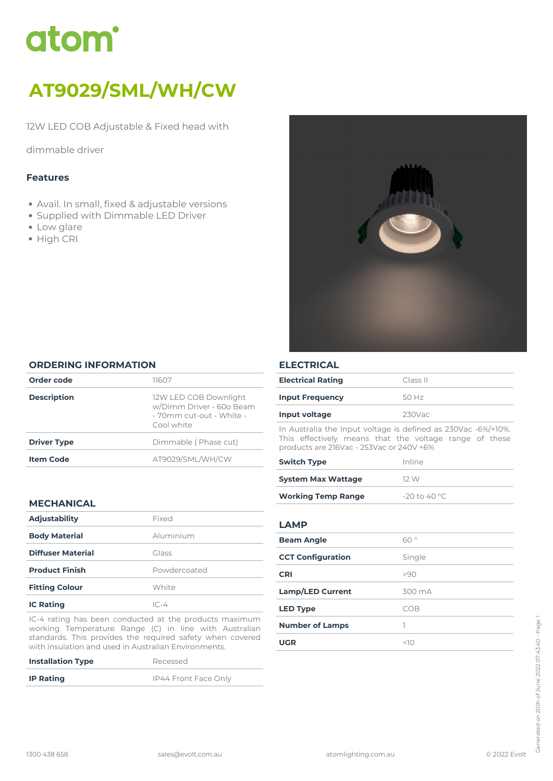# atom<sup>\*</sup>

# *AT9029/SML/WH/CW*

*12W LED COB Adjustable & Fixed head with*

*dimmable driver*

# *Features*

- *Avail. In small, fixed & adjustable versions*
- *Supplied with Dimmable LED Driver*
- *Low glare*
- *High CRI*



#### *ORDERING INFORMATION*

| Order code         | 11607                                                                                       |
|--------------------|---------------------------------------------------------------------------------------------|
| <b>Description</b> | 12W LED COB Downlight<br>w/Dimm Driver - 60o Beam<br>- 70mm cut-out - White -<br>Cool white |
| <b>Driver Type</b> | Dimmable (Phase cut)                                                                        |
| <b>Item Code</b>   | AT9029/SML/WH/CW                                                                            |
|                    |                                                                                             |

# *MECHANICAL*

| <b>Adjustability</b>     | Fixed        |  |
|--------------------------|--------------|--|
| <b>Body Material</b>     | Aluminium    |  |
| <b>Diffuser Material</b> | Glass        |  |
| <b>Product Finish</b>    | Powdercoated |  |
| <b>Fitting Colour</b>    | White        |  |
| <b>IC Rating</b>         | $IC-4$       |  |

*IC-4 rating has been conducted at the products maximum working Temperature Range (C) in line with Australian standards. This provides the required safety when covered with insulation and used in Australian Environments.*

| <b>Installation Type</b> | Recessed             |
|--------------------------|----------------------|
| <b>IP Rating</b>         | IP44 Front Face Only |

# *ELECTRICAL*

| <b>Electrical Rating</b> | Class II |
|--------------------------|----------|
| <b>Input Frequency</b>   | 50 Hz    |
| Input voltage            | 230Vac   |

*In Australia the Input voltage is defined as 230Vac -6%/+10%. This effectively means that the voltage range of these products are 216Vac - 253Vac or 240V +6%*

| <b>Switch Type</b>        | Inline         |  |
|---------------------------|----------------|--|
| <b>System Max Wattage</b> | 12 W           |  |
| <b>Working Temp Range</b> | $-20$ to 40 °C |  |

#### *LAMP*

| <b>Beam Angle</b>        | 60°    |
|--------------------------|--------|
| <b>CCT Configuration</b> | Single |
| <b>CRI</b>               | >90    |
| <b>Lamp/LED Current</b>  | 300 mA |
| <b>LED Type</b>          | COB    |
| <b>Number of Lamps</b>   |        |
| <b>UGR</b>               | <10    |
|                          |        |